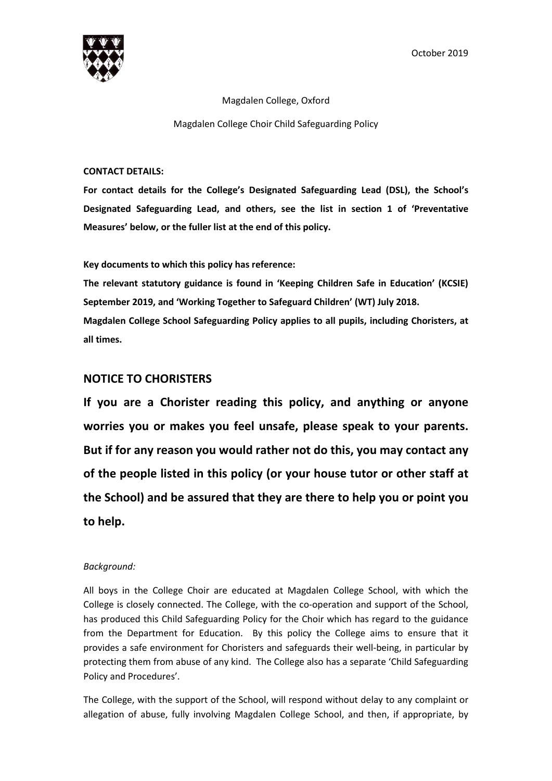

#### Magdalen College, Oxford

Magdalen College Choir Child Safeguarding Policy

### **CONTACT DETAILS:**

**For contact details for the College's Designated Safeguarding Lead (DSL), the School's Designated Safeguarding Lead, and others, see the list in section 1 of 'Preventative Measures' below, or the fuller list at the end of this policy.** 

**Key documents to which this policy has reference:** 

**The relevant statutory guidance is found in 'Keeping Children Safe in Education' (KCSIE) September 2019, and 'Working Together to Safeguard Children' (WT) July 2018. Magdalen College School Safeguarding Policy applies to all pupils, including Choristers, at all times.** 

# **NOTICE TO CHORISTERS**

**If you are a Chorister reading this policy, and anything or anyone worries you or makes you feel unsafe, please speak to your parents. But if for any reason you would rather not do this, you may contact any of the people listed in this policy (or your house tutor or other staff at the School) and be assured that they are there to help you or point you to help.** 

# *Background:*

All boys in the College Choir are educated at Magdalen College School, with which the College is closely connected. The College, with the co-operation and support of the School, has produced this Child Safeguarding Policy for the Choir which has regard to the guidance from the Department for Education. By this policy the College aims to ensure that it provides a safe environment for Choristers and safeguards their well-being, in particular by protecting them from abuse of any kind. The College also has a separate 'Child Safeguarding Policy and Procedures'.

The College, with the support of the School, will respond without delay to any complaint or allegation of abuse, fully involving Magdalen College School, and then, if appropriate, by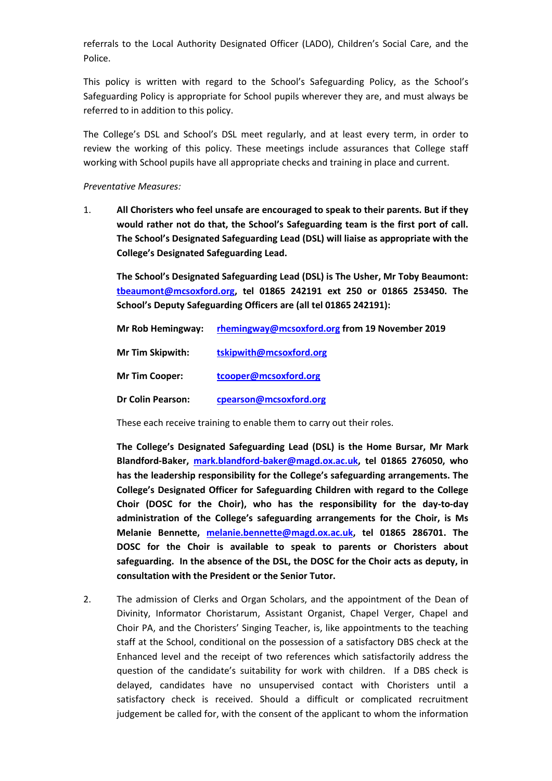referrals to the Local Authority Designated Officer (LADO), Children's Social Care, and the Police.

This policy is written with regard to the School's Safeguarding Policy, as the School's Safeguarding Policy is appropriate for School pupils wherever they are, and must always be referred to in addition to this policy.

The College's DSL and School's DSL meet regularly, and at least every term, in order to review the working of this policy. These meetings include assurances that College staff working with School pupils have all appropriate checks and training in place and current.

#### *Preventative Measures:*

1. **All Choristers who feel unsafe are encouraged to speak to their parents. But if they would rather not do that, the School's Safeguarding team is the first port of call. The School's Designated Safeguarding Lead (DSL) will liaise as appropriate with the College's Designated Safeguarding Lead.** 

**[The School's Designated Safe](mailto:tbeaumont@mcsoxford.org)guarding Lead (DSL) is The Usher, Mr Toby Beaumont: tbeaumont@mcsoxford.org, tel 01865 242191 ext 250 or 01865 253450. The School's Deputy Safeguarding Officers are (all tel 01865 242191):** 

| Mr Rob Hemingway:        | rhemingway@mcsoxford.org from 19 November 2019 |
|--------------------------|------------------------------------------------|
| <b>Mr Tim Skipwith:</b>  | tskipwith@mcsoxford.org                        |
| <b>Mr Tim Cooper:</b>    | tcooper@mcsoxford.org                          |
| <b>Dr Colin Pearson:</b> | cpearson@mcsoxford.org                         |

These each receive training to enable them to carry out their roles.

**The College's Des[ignated Safeguarding Lead \(DSL\) is the](mailto:mark.blandford-baker@magd.ox.ac.uk) Home Bursar, Mr Mark Blandford-Baker, mark.blandford-baker@magd.ox.ac.uk, tel 01865 276050, who has the leadership responsibility for the College's safeguarding arrangements. The College's Designated Officer for Safeguarding Children with regard to the College Choir (DOSC for the Choir), who has the responsibility for the day-to-day administration of th[e College's safeguarding arrangem](mailto:melanie.bennette@magd.ox.ac.uk)ents for the Choir, is Ms Melanie Bennette, melanie.bennette@magd.ox.ac.uk, tel 01865 286701. The DOSC for the Choir is available to speak to parents or Choristers about safeguarding. In the absence of the DSL, the DOSC for the Choir acts as deputy, in consultation with the President or the Senior Tutor.** 

2. The admission of Clerks and Organ Scholars, and the appointment of the Dean of Divinity, Informator Choristarum, Assistant Organist, Chapel Verger, Chapel and Choir PA, and the Choristers' Singing Teacher, is, like appointments to the teaching staff at the School, conditional on the possession of a satisfactory DBS check at the Enhanced level and the receipt of two references which satisfactorily address the question of the candidate's suitability for work with children. If a DBS check is delayed, candidates have no unsupervised contact with Choristers until a satisfactory check is received. Should a difficult or complicated recruitment judgement be called for, with the consent of the applicant to whom the information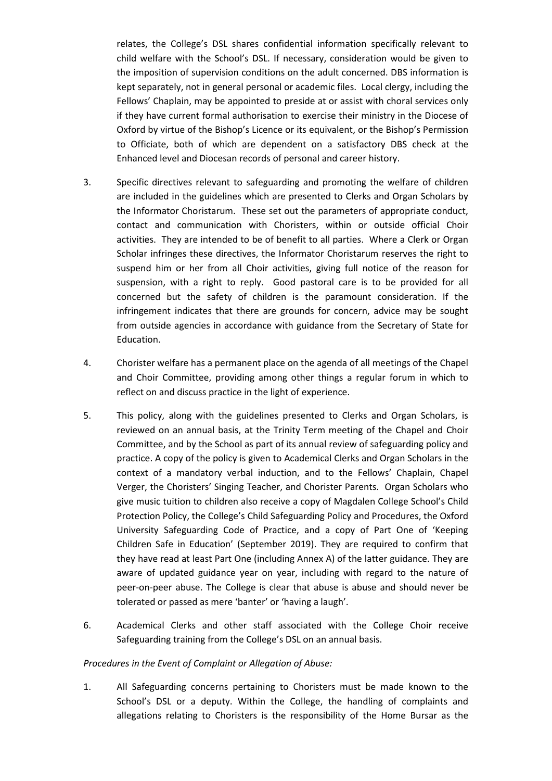relates, the College's DSL shares confidential information specifically relevant to child welfare with the School's DSL. If necessary, consideration would be given to the imposition of supervision conditions on the adult concerned. DBS information is kept separately, not in general personal or academic files. Local clergy, including the Fellows' Chaplain, may be appointed to preside at or assist with choral services only if they have current formal authorisation to exercise their ministry in the Diocese of Oxford by virtue of the Bishop's Licence or its equivalent, or the Bishop's Permission to Officiate, both of which are dependent on a satisfactory DBS check at the Enhanced level and Diocesan records of personal and career history.

- 3. Specific directives relevant to safeguarding and promoting the welfare of children are included in the guidelines which are presented to Clerks and Organ Scholars by the Informator Choristarum. These set out the parameters of appropriate conduct, contact and communication with Choristers, within or outside official Choir activities. They are intended to be of benefit to all parties. Where a Clerk or Organ Scholar infringes these directives, the Informator Choristarum reserves the right to suspend him or her from all Choir activities, giving full notice of the reason for suspension, with a right to reply. Good pastoral care is to be provided for all concerned but the safety of children is the paramount consideration. If the infringement indicates that there are grounds for concern, advice may be sought from outside agencies in accordance with guidance from the Secretary of State for Education.
- 4. Chorister welfare has a permanent place on the agenda of all meetings of the Chapel and Choir Committee, providing among other things a regular forum in which to reflect on and discuss practice in the light of experience.
- 5. This policy, along with the guidelines presented to Clerks and Organ Scholars, is reviewed on an annual basis, at the Trinity Term meeting of the Chapel and Choir Committee, and by the School as part of its annual review of safeguarding policy and practice. A copy of the policy is given to Academical Clerks and Organ Scholars in the context of a mandatory verbal induction, and to the Fellows' Chaplain, Chapel Verger, the Choristers' Singing Teacher, and Chorister Parents. Organ Scholars who give music tuition to children also receive a copy of Magdalen College School's Child Protection Policy, the College's Child Safeguarding Policy and Procedures, the Oxford University Safeguarding Code of Practice, and a copy of Part One of 'Keeping Children Safe in Education' (September 2019). They are required to confirm that they have read at least Part One (including Annex A) of the latter guidance. They are aware of updated guidance year on year, including with regard to the nature of peer-on-peer abuse. The College is clear that abuse is abuse and should never be tolerated or passed as mere 'banter' or 'having a laugh'.
- 6. Academical Clerks and other staff associated with the College Choir receive Safeguarding training from the College's DSL on an annual basis.

### *Procedures in the Event of Complaint or Allegation of Abuse:*

1. All Safeguarding concerns pertaining to Choristers must be made known to the School's DSL or a deputy. Within the College, the handling of complaints and allegations relating to Choristers is the responsibility of the Home Bursar as the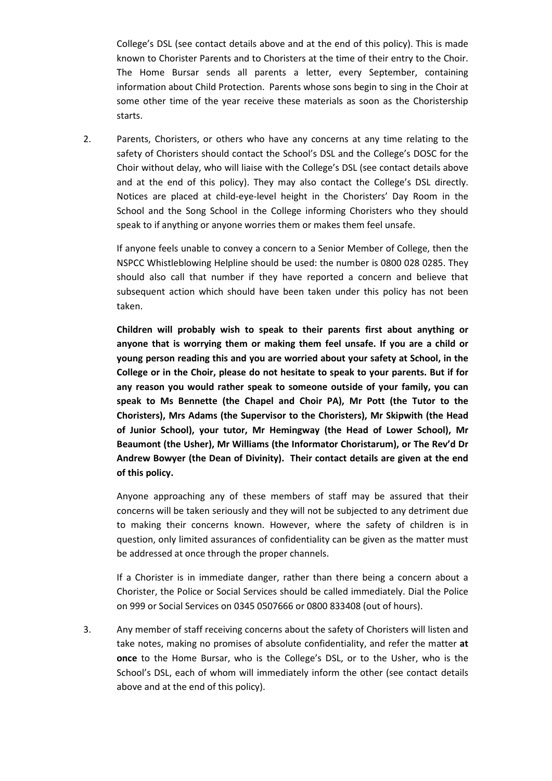College's DSL (see contact details above and at the end of this policy). This is made known to Chorister Parents and to Choristers at the time of their entry to the Choir. The Home Bursar sends all parents a letter, every September, containing information about Child Protection. Parents whose sons begin to sing in the Choir at some other time of the year receive these materials as soon as the Choristership starts.

2. Parents, Choristers, or others who have any concerns at any time relating to the safety of Choristers should contact the School's DSL and the College's DOSC for the Choir without delay, who will liaise with the College's DSL (see contact details above and at the end of this policy). They may also contact the College's DSL directly. Notices are placed at child-eye-level height in the Choristers' Day Room in the School and the Song School in the College informing Choristers who they should speak to if anything or anyone worries them or makes them feel unsafe.

If anyone feels unable to convey a concern to a Senior Member of College, then the NSPCC Whistleblowing Helpline should be used: the number is 0800 028 0285. They should also call that number if they have reported a concern and believe that subsequent action which should have been taken under this policy has not been taken.

**Children will probably wish to speak to their parents first about anything or anyone that is worrying them or making them feel unsafe. If you are a child or young person reading this and you are worried about your safety at School, in the College or in the Choir, please do not hesitate to speak to your parents. But if for any reason you would rather speak to someone outside of your family, you can speak to Ms Bennette (the Chapel and Choir PA), Mr Pott (the Tutor to the Choristers), Mrs Adams (the Supervisor to the Choristers), Mr Skipwith (the Head of Junior School), your tutor, Mr Hemingway (the Head of Lower School), Mr Beaumont (the Usher), Mr Williams (the Informator Choristarum), or The Rev'd Dr Andrew Bowyer (the Dean of Divinity). Their contact details are given at the end of this policy.** 

Anyone approaching any of these members of staff may be assured that their concerns will be taken seriously and they will not be subjected to any detriment due to making their concerns known. However, where the safety of children is in question, only limited assurances of confidentiality can be given as the matter must be addressed at once through the proper channels.

If a Chorister is in immediate danger, rather than there being a concern about a Chorister, the Police or Social Services should be called immediately. Dial the Police on 999 or Social Services on 0345 0507666 or 0800 833408 (out of hours).

3. Any member of staff receiving concerns about the safety of Choristers will listen and take notes, making no promises of absolute confidentiality, and refer the matter **at once** to the Home Bursar, who is the College's DSL, or to the Usher, who is the School's DSL, each of whom will immediately inform the other (see contact details above and at the end of this policy).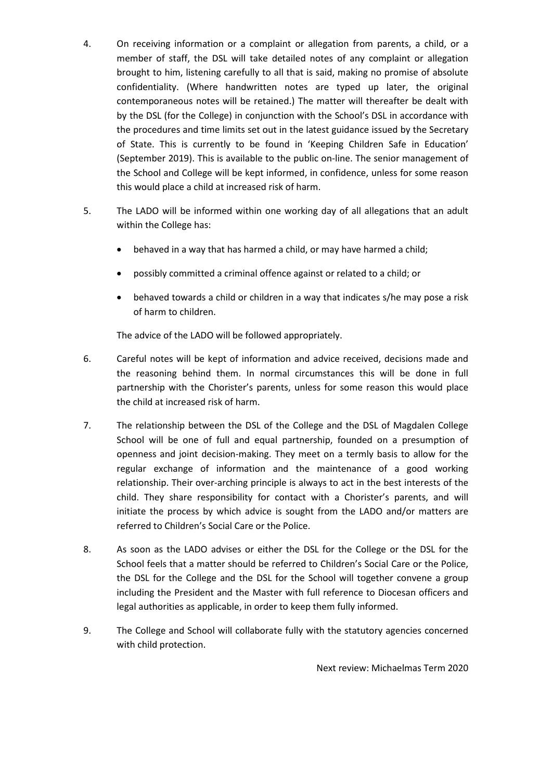- 4. On receiving information or a complaint or allegation from parents, a child, or a member of staff, the DSL will take detailed notes of any complaint or allegation brought to him, listening carefully to all that is said, making no promise of absolute confidentiality. (Where handwritten notes are typed up later, the original contemporaneous notes will be retained.) The matter will thereafter be dealt with by the DSL (for the College) in conjunction with the School's DSL in accordance with the procedures and time limits set out in the latest guidance issued by the Secretary of State. This is currently to be found in 'Keeping Children Safe in Education' (September 2019). This is available to the public on-line. The senior management of the School and College will be kept informed, in confidence, unless for some reason this would place a child at increased risk of harm.
- 5. The LADO will be informed within one working day of all allegations that an adult within the College has:
	- behaved in a way that has harmed a child, or may have harmed a child;
	- possibly committed a criminal offence against or related to a child; or
	- behaved towards a child or children in a way that indicates s/he may pose a risk of harm to children.

The advice of the LADO will be followed appropriately.

- 6. Careful notes will be kept of information and advice received, decisions made and the reasoning behind them. In normal circumstances this will be done in full partnership with the Chorister's parents, unless for some reason this would place the child at increased risk of harm.
- 7. The relationship between the DSL of the College and the DSL of Magdalen College School will be one of full and equal partnership, founded on a presumption of openness and joint decision-making. They meet on a termly basis to allow for the regular exchange of information and the maintenance of a good working relationship. Their over-arching principle is always to act in the best interests of the child. They share responsibility for contact with a Chorister's parents, and will initiate the process by which advice is sought from the LADO and/or matters are referred to Children's Social Care or the Police.
- 8. As soon as the LADO advises or either the DSL for the College or the DSL for the School feels that a matter should be referred to Children's Social Care or the Police, the DSL for the College and the DSL for the School will together convene a group including the President and the Master with full reference to Diocesan officers and legal authorities as applicable, in order to keep them fully informed.
- 9. The College and School will collaborate fully with the statutory agencies concerned with child protection.

Next review: Michaelmas Term 2020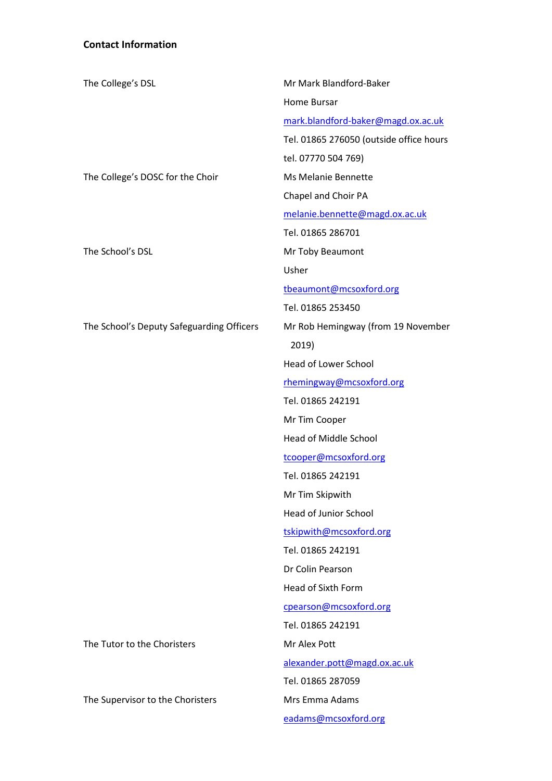# **Contact Information**

| The College's DSL                         | Mr Mark Blandford-Baker                 |
|-------------------------------------------|-----------------------------------------|
|                                           | <b>Home Bursar</b>                      |
|                                           | mark.blandford-baker@magd.ox.ac.uk      |
|                                           | Tel. 01865 276050 (outside office hours |
|                                           | tel. 07770 504 769)                     |
| The College's DOSC for the Choir          | Ms Melanie Bennette                     |
|                                           | Chapel and Choir PA                     |
|                                           | melanie.bennette@magd.ox.ac.uk          |
|                                           | Tel. 01865 286701                       |
| The School's DSL                          | Mr Toby Beaumont                        |
|                                           | Usher                                   |
|                                           | tbeaumont@mcsoxford.org                 |
|                                           | Tel. 01865 253450                       |
| The School's Deputy Safeguarding Officers | Mr Rob Hemingway (from 19 November      |
|                                           | 2019)                                   |
|                                           | <b>Head of Lower School</b>             |
|                                           | rhemingway@mcsoxford.org                |
|                                           | Tel. 01865 242191                       |
|                                           | Mr Tim Cooper                           |
|                                           | <b>Head of Middle School</b>            |
|                                           | tcooper@mcsoxford.org                   |
|                                           | Tel. 01865 242191                       |
|                                           | Mr Tim Skipwith                         |
|                                           | <b>Head of Junior School</b>            |
|                                           | tskipwith@mcsoxford.org                 |
|                                           | Tel. 01865 242191                       |
|                                           | Dr Colin Pearson                        |
|                                           | <b>Head of Sixth Form</b>               |
|                                           | cpearson@mcsoxford.org                  |
|                                           | Tel. 01865 242191                       |
| The Tutor to the Choristers               | Mr Alex Pott                            |
|                                           | alexander.pott@magd.ox.ac.uk            |
|                                           | Tel. 01865 287059                       |
| The Supervisor to the Choristers          | Mrs Emma Adams                          |
|                                           | eadams@mcsoxford.org                    |